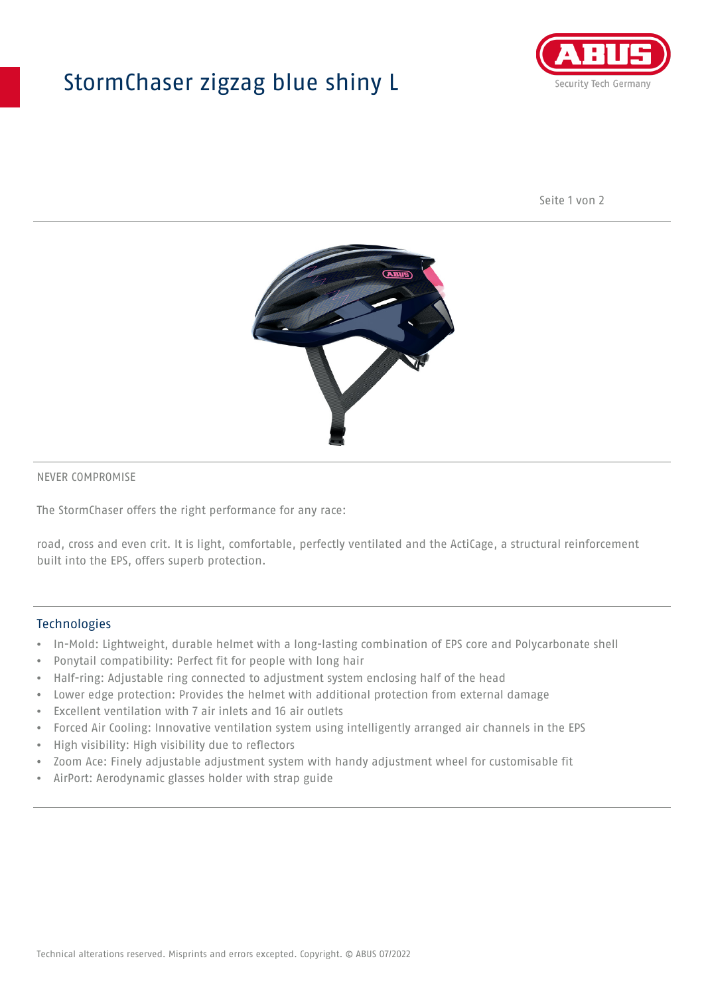## StormChaser zigzag blue shiny L



Seite 1 von 2



#### NEVER COMPROMISE

The StormChaser offers the right performance for any race:

road, cross and even crit. It is light, comfortable, perfectly ventilated and the ActiCage, a structural reinforcement built into the EPS, offers superb protection.

#### **Technologies**

- In-Mold: Lightweight, durable helmet with a long-lasting combination of EPS core and Polycarbonate shell
- Ponytail compatibility: Perfect fit for people with long hair
- Half-ring: Adjustable ring connected to adjustment system enclosing half of the head
- Lower edge protection: Provides the helmet with additional protection from external damage
- Excellent ventilation with 7 air inlets and 16 air outlets
- Forced Air Cooling: Innovative ventilation system using intelligently arranged air channels in the EPS
- High visibility: High visibility due to reflectors
- Zoom Ace: Finely adjustable adjustment system with handy adjustment wheel for customisable fit
- AirPort: Aerodynamic glasses holder with strap guide